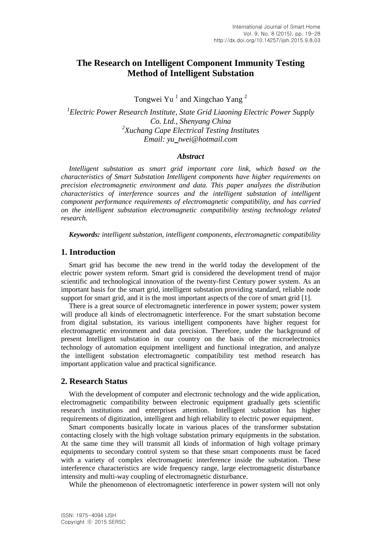# **The Research on Intelligent Component Immunity Testing Method of Intelligent Substation**

Tongwei Yu<sup>1</sup> and Xingchao Yang<sup>2</sup>

*1 Electric Power Research Institute, State Grid Liaoning Electric Power Supply Co. Ltd., Shenyang China 2 Xuchang Cape Electrical Testing Institutes Email: yu*\_*twei@hotmail.com*

### *Abstract*

*Intelligent substation as smart grid important core link, which based on the characteristics of Smart Substation Intelligent components have higher requirements on precision electromagnetic environment and data. This paper analyzes the distribution characteristics of interference sources and the intelligent substation of intelligent component performance requirements of electromagnetic compatibility, and has carried on the intelligent substation electromagnetic compatibility testing technology related research.*

*Keywords: intelligent substation, intelligent components, electromagnetic compatibility*

### **1. Introduction**

Smart grid has become the new trend in the world today the development of the electric power system reform. Smart grid is considered the development trend of major scientific and technological innovation of the twenty-first Century power system. As an important basis for the smart grid, intelligent substation providing standard, reliable node support for smart grid, and it is the most important aspects of the core of smart grid [1].

There is a great source of electromagnetic interference in power system; power system will produce all kinds of electromagnetic interference. For the smart substation become from digital substation, its various intelligent components have higher request for electromagnetic environment and data precision. Therefore, under the background of present Intelligent substation in our country on the basis of the microelectronics technology of automation equipment intelligent and functional integration, and analyze the intelligent substation electromagnetic compatibility test method research has important application value and practical significance.

## **2. Research Status**

With the development of computer and electronic technology and the wide application, electromagnetic compatibility between electronic equipment gradually gets scientific research institutions and enterprises attention. Intelligent substation has higher requirements of digitization, intelligent and high reliability to electric power equipment.

Smart components basically locate in various places of the transformer substation contacting closely with the high voltage substation primary equipments in the substation. At the same time they will transmit all kinds of information of high voltage primary equipments to secondary control system so that these smart components must be faced with a variety of complex electromagnetic interference inside the substation. These interference characteristics are wide frequency range, large electromagnetic disturbance intensity and multi-way coupling of electromagnetic disturbance.

While the phenomenon of electromagnetic interference in power system will not only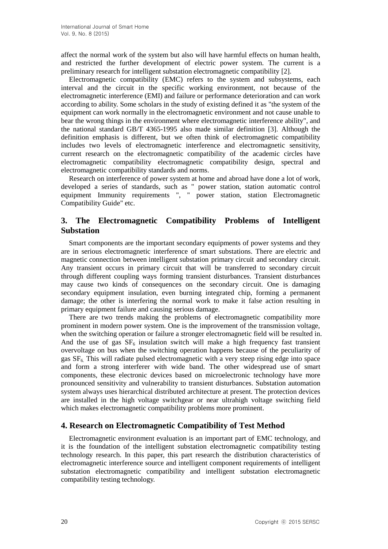affect the normal work of the system but also will have harmful effects on human health, and restricted the further development of electric power system. The current is a preliminary research for intelligent substation electromagnetic compatibility [2].

Electromagnetic compatibility (EMC) refers to the system and subsystems, each interval and the circuit in the specific working environment, not because of the electromagnetic interference (EMI) and failure or performance deterioration and can work according to ability. Some scholars in the study of existing defined it as "the system of the equipment can work normally in the electromagnetic environment and not cause unable to bear the wrong things in the environment where electromagnetic interference ability", and the national standard GB/T 4365-1995 also made similar definition [3]. Although the definition emphasis is different, but we often think of electromagnetic compatibility includes two levels of electromagnetic interference and electromagnetic sensitivity, current research on the electromagnetic compatibility of the academic circles have electromagnetic compatibility electromagnetic compatibility design, spectral and electromagnetic compatibility standards and norms.

Research on interference of power system at home and abroad have done a lot of work, developed a series of standards, such as " power station, station automatic control equipment Immunity requirements ", " power station, station Electromagnetic Compatibility Guide" etc.

# **3. The Electromagnetic Compatibility Problems of Intelligent Substation**

Smart components are the important secondary equipments of power systems and they are in serious electromagnetic interference of smart substations. There are electric and magnetic connection between intelligent substation primary circuit and secondary circuit. Any transient occurs in primary circuit that will be transferred to secondary circuit through different coupling ways forming transient disturbances. Transient disturbances may cause two kinds of consequences on the secondary circuit. One is damaging secondary equipment insulation, even burning integrated chip, forming a permanent damage; the other is interfering the normal work to make it false action resulting in primary equipment failure and causing serious damage.

There are two trends making the problems of electromagnetic compatibility more prominent in modern power system. One is the improvement of the transmission voltage, when the switching operation or failure a stronger electromagnetic field will be resulted in. And the use of gas  $SF_6$  insulation switch will make a high frequency fast transient overvoltage on bus when the switching operation happens because of the peculiarity of gas SF6. This will radiate pulsed electromagnetic with a very steep rising edge into space and form a strong interferer with wide band. The other widespread use of smart components, these electronic devices based on microelectronic technology have more pronounced sensitivity and vulnerability to transient disturbances. Substation automation system always uses hierarchical distributed architecture at present. The protection devices are installed in the high voltage switchgear or near ultrahigh voltage switching field which makes electromagnetic compatibility problems more prominent.

## **4. Research on Electromagnetic Compatibility of Test Method**

Electromagnetic environment evaluation is an important part of EMC technology, and it is the foundation of the intelligent substation electromagnetic compatibility testing technology research. In this paper, this part research the distribution characteristics of electromagnetic interference source and intelligent component requirements of intelligent substation electromagnetic compatibility and intelligent substation electromagnetic compatibility testing technology.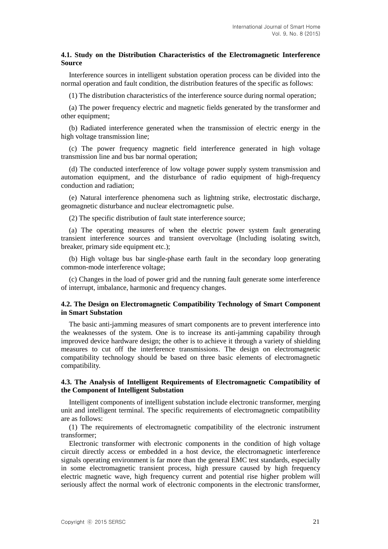### **4.1. Study on the Distribution Characteristics of the Electromagnetic Interference Source**

Interference sources in intelligent substation operation process can be divided into the normal operation and fault condition, the distribution features of the specific as follows:

(1) The distribution characteristics of the interference source during normal operation;

(a) The power frequency electric and magnetic fields generated by the transformer and other equipment;

(b) Radiated interference generated when the transmission of electric energy in the high voltage transmission line;

(c) The power frequency magnetic field interference generated in high voltage transmission line and bus bar normal operation;

(d) The conducted interference of low voltage power supply system transmission and automation equipment, and the disturbance of radio equipment of high-frequency conduction and radiation;

(e) Natural interference phenomena such as lightning strike, electrostatic discharge, geomagnetic disturbance and nuclear electromagnetic pulse.

(2) The specific distribution of fault state interference source;

(a) The operating measures of when the electric power system fault generating transient interference sources and transient overvoltage (Including isolating switch, breaker, primary side equipment etc.):

(b) High voltage bus bar single-phase earth fault in the secondary loop generating common-mode interference voltage;

(c) Changes in the load of power grid and the running fault generate some interference of interrupt, imbalance, harmonic and frequency changes.

### **4.2. The Design on Electromagnetic Compatibility Technology of Smart Component in Smart Substation**

The basic anti-jamming measures of smart components are to prevent interference into the weaknesses of the system. One is to increase its anti-jamming capability through improved device hardware design; the other is to achieve it through a variety of shielding measures to cut off the interference transmissions. The design on electromagnetic compatibility technology should be based on three basic elements of electromagnetic compatibility.

### **4.3. The Analysis of Intelligent Requirements of Electromagnetic Compatibility of the Component of Intelligent Substation**

Intelligent components of intelligent substation include electronic transformer, merging unit and intelligent terminal. The specific requirements of electromagnetic compatibility are as follows:

(1) The requirements of electromagnetic compatibility of the electronic instrument transformer;

Electronic transformer with electronic components in the condition of high voltage circuit directly access or embedded in a host device, the electromagnetic interference signals operating environment is far more than the general EMC test standards, especially in some electromagnetic transient process, high pressure caused by high frequency electric magnetic wave, high frequency current and potential rise higher problem will seriously affect the normal work of electronic components in the electronic transformer,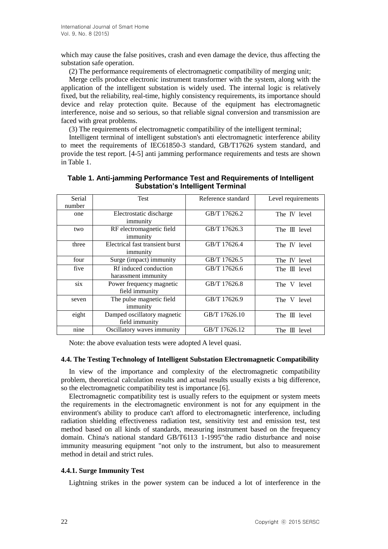which may cause the false positives, crash and even damage the device, thus affecting the substation safe operation.

(2) The performance requirements of electromagnetic compatibility of merging unit;

Merge cells produce electronic instrument transformer with the system, along with the application of the intelligent substation is widely used. The internal logic is relatively fixed, but the reliability, real-time, highly consistency requirements, its importance should device and relay protection quite. Because of the equipment has electromagnetic interference, noise and so serious, so that reliable signal conversion and transmission are faced with great problems.

(3) The requirements of electromagnetic compatibility of the intelligent terminal;

Intelligent terminal of intelligent substation's anti electromagnetic interference ability to meet the requirements of IEC61850-3 standard, GB/T17626 system standard, and provide the test report. [4-5] anti jamming performance requirements and tests are shown in Table 1.

| Serial | <b>Test</b>                     | Reference standard | Level requirements |
|--------|---------------------------------|--------------------|--------------------|
| number |                                 |                    |                    |
| one    | Electrostatic discharge         | GB/T 17626.2       | The IV level       |
|        | immunity                        |                    |                    |
| two    | RF electromagnetic field        | GB/T 17626.3       | The III level      |
|        | immunity                        |                    |                    |
| three  | Electrical fast transient burst | GB/T 17626.4       | The IV level       |
|        | immunity                        |                    |                    |
| four   | Surge (impact) immunity         | GB/T 17626.5       | The IV level       |
| five   | Rf induced conduction           | GB/T 17626.6       | The III level      |
|        | harassment immunity             |                    |                    |
| six    | Power frequency magnetic        | GB/T 17626.8       | The V level        |
|        | field immunity                  |                    |                    |
| seven  | The pulse magnetic field        | GB/T 17626.9       | The V level        |
|        | immunity                        |                    |                    |
| eight  | Damped oscillatory magnetic     | GB/T 17626.10      | The III level      |
|        | field immunity                  |                    |                    |
| nine   | Oscillatory waves immunity      | GB/T 17626.12      | The III level      |

| Table 1. Anti-jamming Performance Test and Requirements of Intelligent |  |  |  |
|------------------------------------------------------------------------|--|--|--|
| <b>Substation's Intelligent Terminal</b>                               |  |  |  |

Note: the above evaluation tests were adopted A level quasi.

#### **4.4. The Testing Technology of Intelligent Substation Electromagnetic Compatibility**

In view of the importance and complexity of the electromagnetic compatibility problem, theoretical calculation results and actual results usually exists a big difference, so the electromagnetic compatibility test is importance [6].

Electromagnetic compatibility test is usually refers to the equipment or system meets the requirements in the electromagnetic environment is not for any equipment in the environment's ability to produce can't afford to electromagnetic interference, including radiation shielding effectiveness radiation test, sensitivity test and emission test, test method based on all kinds of standards, measuring instrument based on the frequency domain. China's national standard GB/T6113 1-1995"the radio disturbance and noise immunity measuring equipment "not only to the instrument, but also to measurement method in detail and strict rules.

### **4.4.1. Surge Immunity Test**

Lightning strikes in the power system can be induced a lot of interference in the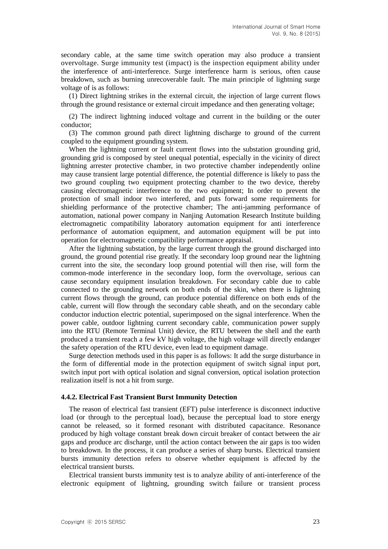secondary cable, at the same time switch operation may also produce a transient overvoltage. Surge immunity test (impact) is the inspection equipment ability under the interference of anti-interference. Surge interference harm is serious, often cause breakdown, such as burning unrecoverable fault. The main principle of lightning surge voltage of is as follows:

(1) Direct lightning strikes in the external circuit, the injection of large current flows through the ground resistance or external circuit impedance and then generating voltage;

(2) The indirect lightning induced voltage and current in the building or the outer conductor;

(3) The common ground path direct lightning discharge to ground of the current coupled to the equipment grounding system.

When the lightning current or fault current flows into the substation grounding grid, grounding grid is composed by steel unequal potential, especially in the vicinity of direct lightning arrester protective chamber, in two protective chamber independently online may cause transient large potential difference, the potential difference is likely to pass the two ground coupling two equipment protecting chamber to the two device, thereby causing electromagnetic interference to the two equipment; In order to prevent the protection of small indoor two interfered, and puts forward some requirements for shielding performance of the protective chamber; The anti-jamming performance of automation, national power company in Nanjing Automation Research Institute building electromagnetic compatibility laboratory automation equipment for anti interference performance of automation equipment, and automation equipment will be put into operation for electromagnetic compatibility performance appraisal.

After the lightning substation, by the large current through the ground discharged into ground, the ground potential rise greatly. If the secondary loop ground near the lightning current into the site, the secondary loop ground potential will then rise, will form the common-mode interference in the secondary loop, form the overvoltage, serious can cause secondary equipment insulation breakdown. For secondary cable due to cable connected to the grounding network on both ends of the skin, when there is lightning current flows through the ground, can produce potential difference on both ends of the cable, current will flow through the secondary cable sheath, and on the secondary cable conductor induction electric potential, superimposed on the signal interference. When the power cable, outdoor lightning current secondary cable, communication power supply into the RTU (Remote Terminal Unit) device, the RTU between the shell and the earth produced a transient reach a few kV high voltage, the high voltage will directly endanger the safety operation of the RTU device, even lead to equipment damage.

Surge detection methods used in this paper is as follows: It add the surge disturbance in the form of differential mode in the protection equipment of switch signal input port, switch input port with optical isolation and signal conversion, optical isolation protection realization itself is not a hit from surge.

#### **4.4.2. Electrical Fast Transient Burst Immunity Detection**

The reason of electrical fast transient (EFT) pulse interference is disconnect inductive load (or through to the perceptual load), because the perceptual load to store energy cannot be released, so it formed resonant with distributed capacitance. Resonance produced by high voltage constant break down circuit breaker of contact between the air gaps and produce arc discharge, until the action contact between the air gaps is too widen to breakdown. In the process, it can produce a series of sharp bursts. Electrical transient bursts immunity detection refers to observe whether equipment is affected by the electrical transient bursts.

Electrical transient bursts immunity test is to analyze ability of anti-interference of the electronic equipment of lightning, grounding switch failure or transient process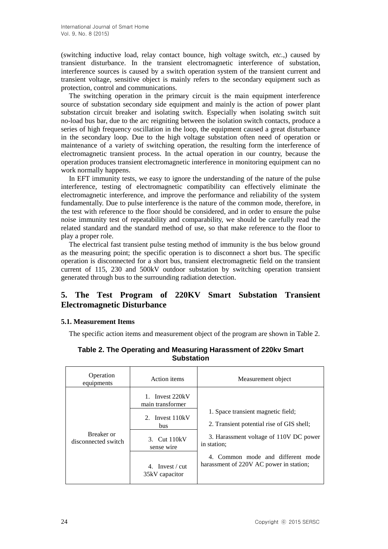(switching inductive load, relay contact bounce, high voltage switch, *etc.*,) caused by transient disturbance. In the transient electromagnetic interference of substation, interference sources is caused by a switch operation system of the transient current and transient voltage, sensitive object is mainly refers to the secondary equipment such as protection, control and communications.

The switching operation in the primary circuit is the main equipment interference source of substation secondary side equipment and mainly is the action of power plant substation circuit breaker and isolating switch. Especially when isolating switch suit no-load bus bar, due to the arc reigniting between the isolation switch contacts, produce a series of high frequency oscillation in the loop, the equipment caused a great disturbance in the secondary loop. Due to the high voltage substation often need of operation or maintenance of a variety of switching operation, the resulting form the interference of electromagnetic transient process. In the actual operation in our country, because the operation produces transient electromagnetic interference in monitoring equipment can no work normally happens.

In EFT immunity tests, we easy to ignore the understanding of the nature of the pulse interference, testing of electromagnetic compatibility can effectively eliminate the electromagnetic interference, and improve the performance and reliability of the system fundamentally. Due to pulse interference is the nature of the common mode, therefore, in the test with reference to the floor should be considered, and in order to ensure the pulse noise immunity test of repeatability and comparability, we should be carefully read the related standard and the standard method of use, so that make reference to the floor to play a proper role.

The electrical fast transient pulse testing method of immunity is the bus below ground as the measuring point; the specific operation is to disconnect a short bus. The specific operation is disconnected for a short bus, transient electromagnetic field on the transient current of 115, 230 and 500kV outdoor substation by switching operation transient generated through bus to the surrounding radiation detection.

# **5. The Test Program of 220KV Smart Substation Transient Electromagnetic Disturbance**

## **5.1. Measurement Items**

The specific action items and measurement object of the program are shown in Table 2.

| Operation<br>equipments           | Action items                           | Measurement object                                                           |
|-----------------------------------|----------------------------------------|------------------------------------------------------------------------------|
|                                   | 1. Invest 220kV<br>main transformer    |                                                                              |
|                                   | 2. Invest 110kV<br><b>bus</b>          | 1. Space transient magnetic field;                                           |
|                                   |                                        | 2. Transient potential rise of GIS shell;                                    |
| Breaker or<br>disconnected switch | 3. Cut 110kV<br>sense wire             | 3. Harassment voltage of 110V DC power<br>in station;                        |
|                                   | 4. Invest $\ell$ cut<br>35kV capacitor | 4. Common mode and different mode<br>harassment of 220V AC power in station; |

**Table 2. The Operating and Measuring Harassment of 220kv Smart Substation**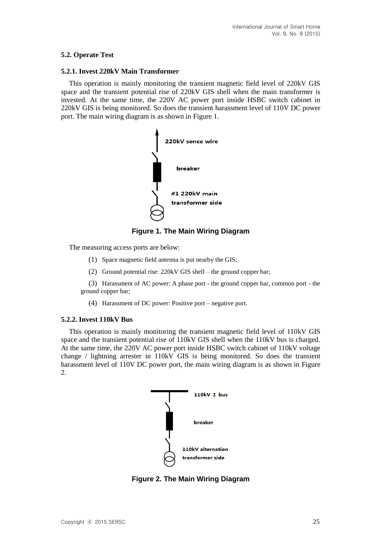## **5.2. Operate Test**

### **5.2.1. Invest 220kV Main Transformer**

This operation is mainly monitoring the transient magnetic field level of 220kV GIS space and the transient potential rise of 220kV GIS shell when the main transformer is invested. At the same time, the 220V AC power port inside HSBC switch cabinet in 220kV GIS is being monitored. So does the transient harassment level of 110V DC power port. The main wiring diagram is as shown in Figure 1.



**Figure 1. The Main Wiring Diagram**

The measuring access ports are below:

- (1) Space magnetic field antenna is put nearby the GIS;
- (2) Ground potential rise: 220kV GIS shell the ground copper bar;

(3) Harassment of AC power: A phase port - the ground copper bar, common port - the ground copper bar;

(4) Harassment of DC power: Positive port – negative port.

### **5.2.2. Invest 110kV Bus**

This operation is mainly monitoring the transient magnetic field level of 110kV GIS space and the transient potential rise of 110kV GIS shell when the 110kV bus is charged. At the same time, the 220V AC power port inside HSBC switch cabinet of 110kV voltage change / lightning arrester in 110kV GIS is being monitored. So does the transient harassment level of 110V DC power port, the main wiring diagram is as shown in Figure 2.



**Figure 2. The Main Wiring Diagram**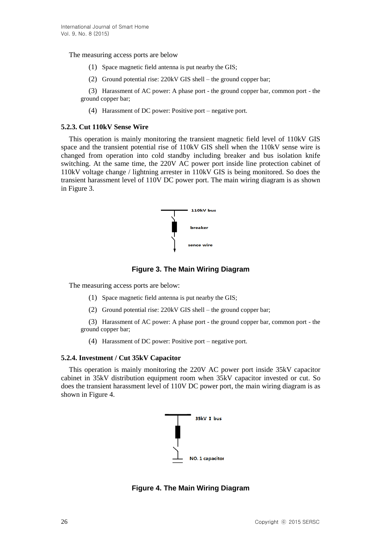The measuring access ports are below

- (1) Space magnetic field antenna is put nearby the GIS;
- (2) Ground potential rise: 220kV GIS shell the ground copper bar;

(3) Harassment of AC power: A phase port - the ground copper bar, common port - the ground copper bar;

(4) Harassment of DC power: Positive port – negative port.

#### **5.2.3. Cut 110kV Sense Wire**

This operation is mainly monitoring the transient magnetic field level of 110kV GIS space and the transient potential rise of 110kV GIS shell when the 110kV sense wire is changed from operation into cold standby including breaker and bus isolation knife switching. At the same time, the 220V AC power port inside line protection cabinet of 110kV voltage change / lightning arrester in 110kV GIS is being monitored. So does the transient harassment level of 110V DC power port. The main wiring diagram is as shown in Figure 3.



**Figure 3. The Main Wiring Diagram**

The measuring access ports are below:

- (1) Space magnetic field antenna is put nearby the GIS;
- (2) Ground potential rise: 220kV GIS shell the ground copper bar;

(3) Harassment of AC power: A phase port - the ground copper bar, common port - the ground copper bar;

(4) Harassment of DC power: Positive port – negative port.

#### **5.2.4. Investment / Cut 35kV Capacitor**

This operation is mainly monitoring the 220V AC power port inside 35kV capacitor cabinet in 35kV distribution equipment room when 35kV capacitor invested or cut. So does the transient harassment level of 110V DC power port, the main wiring diagram is as shown in Figure 4.



**Figure 4. The Main Wiring Diagram**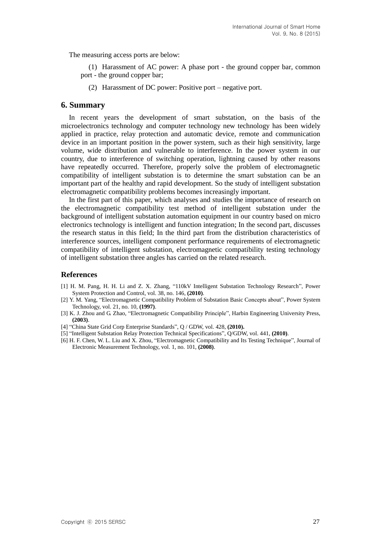The measuring access ports are below:

(1) Harassment of AC power: A phase port - the ground copper bar, common port - the ground copper bar;

(2) Harassment of DC power: Positive port – negative port.

## **6. Summary**

In recent years the development of smart substation, on the basis of the microelectronics technology and computer technology new technology has been widely applied in practice, relay protection and automatic device, remote and communication device in an important position in the power system, such as their high sensitivity, large volume, wide distribution and vulnerable to interference. In the power system in our country, due to interference of switching operation, lightning caused by other reasons have repeatedly occurred. Therefore, properly solve the problem of electromagnetic compatibility of intelligent substation is to determine the smart substation can be an important part of the healthy and rapid development. So the study of intelligent substation electromagnetic compatibility problems becomes increasingly important.

In the first part of this paper, which analyses and studies the importance of research on the electromagnetic compatibility test method of intelligent substation under the background of intelligent substation automation equipment in our country based on micro electronics technology is intelligent and function integration; In the second part, discusses the research status in this field; In the third part from the distribution characteristics of interference sources, intelligent component performance requirements of electromagnetic compatibility of intelligent substation, electromagnetic compatibility testing technology of intelligent substation three angles has carried on the related research.

### **References**

- [1] H. M. Pang, H. H. Li and Z. X. Zhang, "110kV Intelligent Substation Technology Research", Power System Protection and Control, vol. 38, no. 146, **(2010)**.
- [2] Y. M. Yang, "Electromagnetic Compatibility Problem of Substation Basic Concepts about", Power System Technology, vol. 21, no. 10, **(1997)**.
- [3] K. J. Zhou and G. Zhao, "Electromagnetic Compatibility Principle", Harbin Engineering University Press, **(2003)**.
- [4] "China State Grid Corp Enterprise Standards", Q / GDW, vol. 428, **(2010).**
- [5] "Intelligent Substation Relay Protection Technical Specifications", Q/GDW, vol. 441, **(2010)**.
- [6] H. F. Chen, W. L. Liu and X. Zhou, "Electromagnetic Compatibility and Its Testing Technique", Journal of Electronic Measurement Technology, vol. 1, no. 101, **(2008)**.